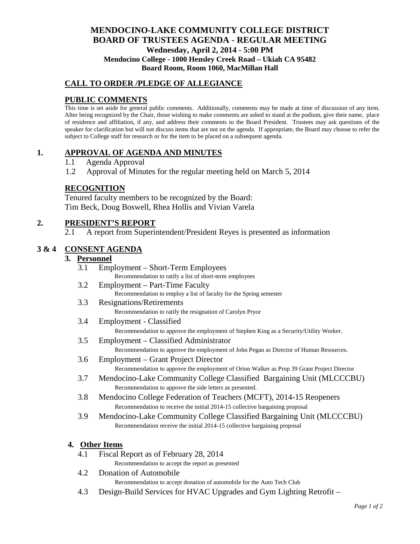# **MENDOCINO-LAKE COMMUNITY COLLEGE DISTRICT BOARD OF TRUSTEES AGENDA** - **REGULAR MEETING Wednesday, April 2, 2014 - 5:00 PM Mendocino College - 1000 Hensley Creek Road – Ukiah CA 95482 Board Room, Room 1060, MacMillan Hall**

# **CALL TO ORDER /PLEDGE OF ALLEGIANCE**

## **PUBLIC COMMENTS**

This time is set aside for general public comments. Additionally, comments may be made at time of discussion of any item. After being recognized by the Chair, those wishing to make comments are asked to stand at the podium, give their name, place of residence and affiliation, if any, and address their comments to the Board President. Trustees may ask questions of the speaker for clarification but will not discuss items that are not on the agenda. If appropriate, the Board may choose to refer the subject to College staff for research or for the item to be placed on a subsequent agenda.

## **1. APPROVAL OF AGENDA AND MINUTES**

- 1.1 Agenda Approval
- 1.2 Approval of Minutes for the regular meeting held on March 5, 2014

#### **RECOGNITION**

Tenured faculty members to be recognized by the Board: Tim Beck, Doug Boswell, Rhea Hollis and Vivian Varela

### **2. PRESIDENT'S REPORT**

2.1 A report from Superintendent/President Reyes is presented as information

## **3 & 4 CONSENT AGENDA**

### **3. Personnel**

- 3.1 Employment Short-Term Employees Recommendation to ratify a list of short-term employees
- 3.2 Employment Part-Time Faculty Recommendation to employ a list of faculty for the Spring semester
- 3.3 Resignations/Retirements

Recommendation to ratify the resignation of Carolyn Pryor

- 3.4 Employment Classified Recommendation to approve the employment of Stephen King as a Security/Utility Worker.
- 3.5 Employment Classified Administrator Recommendation to approve the employment of John Pegan as Director of Human Resources.
- 3.6 Employment Grant Project Director Recommendation to approve the employment of Orion Walker as Prop 39 Grant Project Director
- 3.7 Mendocino-Lake Community College Classified Bargaining Unit (MLCCCBU) Recommendation to approve the side letters as presented.
- 3.8 Mendocino College Federation of Teachers (MCFT), 2014-15 Reopeners Recommendation to receive the initial 2014-15 collective bargaining proposal
- 3.9 Mendocino-Lake Community College Classified Bargaining Unit (MLCCCBU) Recommendation receive the initial 2014-15 collective bargaining proposal

#### **4. Other Items**

- 4.1 Fiscal Report as of February 28, 2014
	- Recommendation to accept the report as presented
- 4.2 Donation of Automobile

Recommendation to accept donation of automobile for the Auto Tech Club

4.3 Design-Build Services for HVAC Upgrades and Gym Lighting Retrofit –